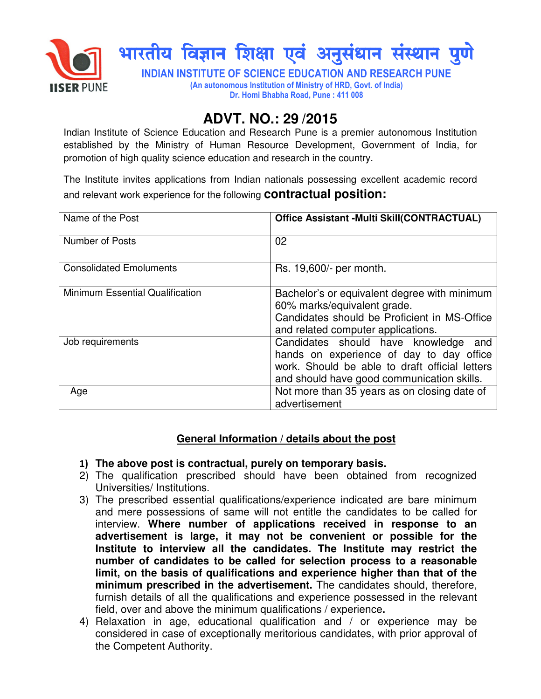

## **ADVT. NO.: 29 /2015**

Indian Institute of Science Education and Research Pune is a premier autonomous Institution established by the Ministry of Human Resource Development, Government of India, for promotion of high quality science education and research in the country.

The Institute invites applications from Indian nationals possessing excellent academic record and relevant work experience for the following **contractual position:** 

| Name of the Post                | <b>Office Assistant -Multi Skill(CONTRACTUAL)</b>                                                                                                                                   |
|---------------------------------|-------------------------------------------------------------------------------------------------------------------------------------------------------------------------------------|
| <b>Number of Posts</b>          | 02                                                                                                                                                                                  |
| <b>Consolidated Emoluments</b>  | Rs. 19,600/- per month.                                                                                                                                                             |
| Minimum Essential Qualification | Bachelor's or equivalent degree with minimum<br>60% marks/equivalent grade.<br>Candidates should be Proficient in MS-Office<br>and related computer applications.                   |
| Job requirements                | Candidates should have knowledge<br>and<br>hands on experience of day to day office<br>work. Should be able to draft official letters<br>and should have good communication skills. |
| Age                             | Not more than 35 years as on closing date of<br>advertisement                                                                                                                       |

## **General Information / details about the post**

- 1) **The above post is contractual, purely on temporary basis.**
- 2) The qualification prescribed should have been obtained from recognized Universities/ Institutions.
- 3) The prescribed essential qualifications/experience indicated are bare minimum and mere possessions of same will not entitle the candidates to be called for interview. **Where number of applications received in response to an advertisement is large, it may not be convenient or possible for the Institute to interview all the candidates. The Institute may restrict the number of candidates to be called for selection process to a reasonable limit, on the basis of qualifications and experience higher than that of the minimum prescribed in the advertisement.** The candidates should, therefore, furnish details of all the qualifications and experience possessed in the relevant field, over and above the minimum qualifications / experience**.**
- 4) Relaxation in age, educational qualification and / or experience may be considered in case of exceptionally meritorious candidates, with prior approval of the Competent Authority.